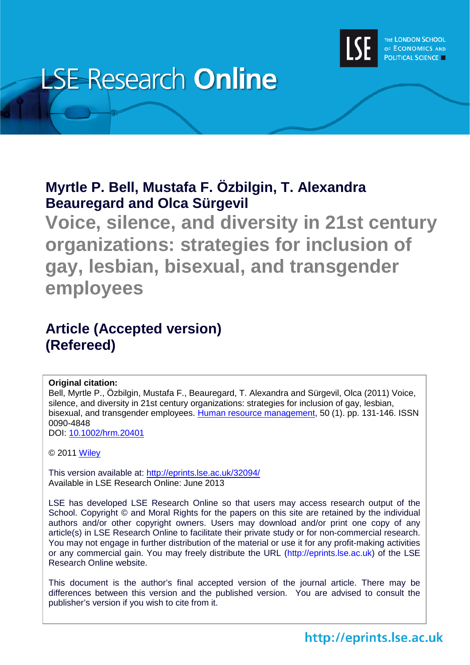

# **LSE Research Online**

# **Myrtle P. Bell, Mustafa F. Özbilgin, T. Alexandra Beauregard and Olca Sürgevil**

**Voice, silence, and diversity in 21st century organizations: strategies for inclusion of gay, lesbian, bisexual, and transgender employees**

# **Article (Accepted version) (Refereed)**

## **Original citation:**

Bell, Myrtle P., Özbilgin, Mustafa F., Beauregard, T. Alexandra and Sürgevil, Olca (2011) Voice, silence, and diversity in 21st century organizations: strategies for inclusion of gay, lesbian, bisexual, and transgender employees. [Human resource management,](http://onlinelibrary.wiley.com/journal/10.1111/%28ISSN%291748-8583) 50 (1). pp. 131-146. ISSN 0090-4848 DOI: [10.1002/hrm.20401](http://dx.doi.org/10.1002/hrm.20401)

© 2011 [Wiley](http://onlinelibrary.wiley.com/journal/10.1111/%28ISSN%291748-8583)

This version available at:<http://eprints.lse.ac.uk/32094/> Available in LSE Research Online: June 2013

LSE has developed LSE Research Online so that users may access research output of the School. Copyright © and Moral Rights for the papers on this site are retained by the individual authors and/or other copyright owners. Users may download and/or print one copy of any article(s) in LSE Research Online to facilitate their private study or for non-commercial research. You may not engage in further distribution of the material or use it for any profit-making activities or any commercial gain. You may freely distribute the URL (http://eprints.lse.ac.uk) of the LSE Research Online website.

This document is the author's final accepted version of the journal article. There may be differences between this version and the published version. You are advised to consult the publisher's version if you wish to cite from it.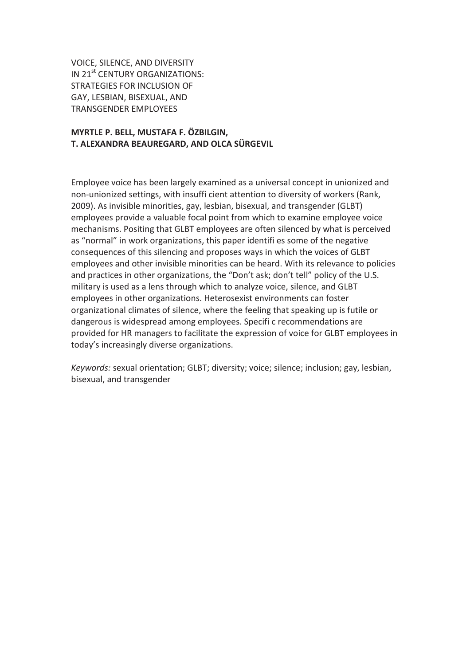VOICE, SILENCE, AND DIVERSITY IN 21<sup>st</sup> CENTURY ORGANIZATIONS: STRATEGIES FOR INCLUSION OF GAY, LESBIAN, BISEXUAL, AND TRANSGENDER EMPLOYEES

#### **MYRTLE P. BELL, MUSTAFA F. ÖZBILGIN, T. ALEXANDRA BEAUREGARD, AND OLCA SÜRGEVIL**

Employee voice has been largely examined as a universal concept in unionized and non-unionized settings, with insuffi cient attention to diversity of workers (Rank, 2009). As invisible minorities, gay, lesbian, bisexual, and transgender (GLBT) employees provide a valuable focal point from which to examine employee voice mechanisms. Positing that GLBT employees are often silenced by what is perceived as "normal" in work organizations, this paper identifi es some of the negative consequences of this silencing and proposes ways in which the voices of GLBT employees and other invisible minorities can be heard. With its relevance to policies and practices in other organizations, the "Don't ask; don't tell" policy of the U.S. military is used as a lens through which to analyze voice, silence, and GLBT employees in other organizations. Heterosexist environments can foster organizational climates of silence, where the feeling that speaking up is futile or dangerous is widespread among employees. Specifi c recommendations are provided for HR managers to facilitate the expression of voice for GLBT employees in today's increasingly diverse organizations.

<span id="page-1-0"></span>*Keywords:* sexual orientation; GLBT; diversity; voice; silence; inclusion; gay, lesbian, bisexual, and transgender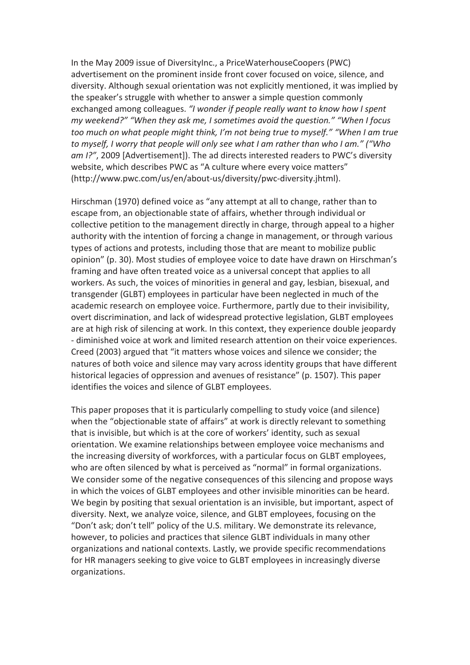In the May 2009 issue of DiversityInc., a PriceWaterhouseCoopers (PWC) advertisement on the prominent inside front cover focused on voice, silence, and diversity. Although sexual orientation was not explicitly mentioned, it was implied by the speaker's struggle with whether to answer a simple question commonly exchanged among colleagues. *"I wonder if people really want to know how I spent my weekend?" "When they ask me, I sometimes avoid the question." "When I focus too much on what people might think, I'm not being true to myself." "When I am true to myself, I worry that people will only see what I am rather than who I am." ("Who am I?"*, 2009 [Advertisement]). The ad directs interested readers to PWC's diversity website, which describes PWC as "A culture where every voice matters" (http://www.pwc.com/us/en/about-us/diversity/pwc-diversity.jhtml).

Hirschman (1970) defined voice as "any attempt at all to change, rather than to escape from, an objectionable state of affairs, whether through individual or collective petition to the management directly in charge, through appeal to a higher authority with the intention of forcing a change in management, or through various types of actions and protests, including those that are meant to mobilize public opinion" (p. 30). Most studies of employee voice to date have drawn on Hirschman's framing and have often treated voice as a universal concept that applies to all workers. As such, the voices of minorities in general and gay, lesbian, bisexual, and transgender (GLBT) employees in particular have been neglected in much of the academic research on employee voice. Furthermore, partly due to their invisibility, overt discrimination, and lack of widespread protective legislation, GLBT employees are at high risk of silencing at work. In this context, they experience double jeopardy - diminished voice at work and limited research attention on their voice experiences. Creed (2003) argued that "it matters whose voices and silence we consider; the natures of both voice and silence may vary across identity groups that have different historical legacies of oppression and avenues of resistance" (p. 1507). This paper identifies the voices and silence of GLBT employees.

This paper proposes that it is particularly compelling to study voice (and silence) when the "objectionable state of affairs" at work is directly relevant to something that is invisible, but which is at the core of workers' identity, such as sexual orientation. We examine relationships between employee voice mechanisms and the increasing diversity of workforces, with a particular focus on GLBT employees, who are often silenced by what is perceived as "normal" in formal organizations. We consider some of the negative consequences of this silencing and propose ways in which the voices of GLBT employees and other invisible minorities can be heard. We begin by positing that sexual orientation is an invisible, but important, aspect of diversity. Next, we analyze voice, silence, and GLBT employees, focusing on the "Don't ask; don't tell" policy of the U.S. military. We demonstrate its relevance, however, to policies and practices that silence GLBT individuals in many other organizations and national contexts. Lastly, we provide specific recommendations for HR managers seeking to give voice to GLBT employees in increasingly diverse organizations.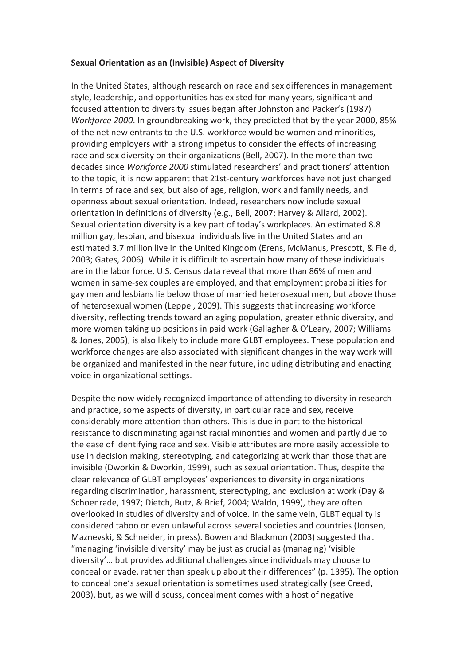#### **Sexual Orientation as an (Invisible) Aspect of Diversity**

In the United States, although research on race and sex differences in management style, leadership, and opportunities has existed for many years, significant and focused attention to diversity issues began after Johnston and Packer's (1987) *Workforce 2000*. In groundbreaking work, they predicted that by the year 2000, 85% of the net new entrants to the U.S. workforce would be women and minorities, providing employers with a strong impetus to consider the effects of increasing race and sex diversity on their organizations (Bell, 2007). In the more than two decades since *Workforce 2000* stimulated researchers' and practitioners' attention to the topic, it is now apparent that 21st-century workforces have not just changed in terms of race and sex, but also of age, religion, work and family needs, and openness about sexual orientation. Indeed, researchers now include sexual orientation in definitions of diversity (e.g., Bell, 2007; Harvey & Allard, 2002). Sexual orientation diversity is a key part of today's workplaces. An estimated 8.8 million gay, lesbian, and bisexual individuals live in the United States and an estimated 3.7 million live in the United Kingdom (Erens, McManus, Prescott, & Field, 2003; Gates, 2006). While it is difficult to ascertain how many of these individuals are in the labor force, U.S. Census data reveal that more than 86% of men and women in same-sex couples are employed, and that employment probabilities for gay men and lesbians lie below those of married heterosexual men, but above those of heterosexual women (Leppel, 2009). This suggests that increasing workforce diversity, reflecting trends toward an aging population, greater ethnic diversity, and more women taking up positions in paid work (Gallagher & O'Leary, 2007; Williams & Jones, 2005), is also likely to include more GLBT employees. These population and workforce changes are also associated with significant changes in the way work will be organized and manifested in the near future, including distributing and enacting voice in organizational settings.

Despite the now widely recognized importance of attending to diversity in research and practice, some aspects of diversity, in particular race and sex, receive considerably more attention than others. This is due in part to the historical resistance to discriminating against racial minorities and women and partly due to the ease of identifying race and sex. Visible attributes are more easily accessible to use in decision making, stereotyping, and categorizing at work than those that are invisible (Dworkin & Dworkin, 1999), such as sexual orientation. Thus, despite the clear relevance of GLBT employees' experiences to diversity in organizations regarding discrimination, harassment, stereotyping, and exclusion at work (Day & Schoenrade, 1997; Dietch, Butz, & Brief, 2004; Waldo, 1999), they are often overlooked in studies of diversity and of voice. In the same vein, GLBT equality is considered taboo or even unlawful across several societies and countries (Jonsen, Maznevski, & Schneider, in press). Bowen and Blackmon (2003) suggested that "managing 'invisible diversity' may be just as crucial as (managing) 'visible diversity'… but provides additional challenges since individuals may choose to conceal or evade, rather than speak up about their differences" (p. 1395). The option to conceal one's sexual orientation is sometimes used strategically (see Creed, 2003), but, as we will discuss, concealment comes with a host of negative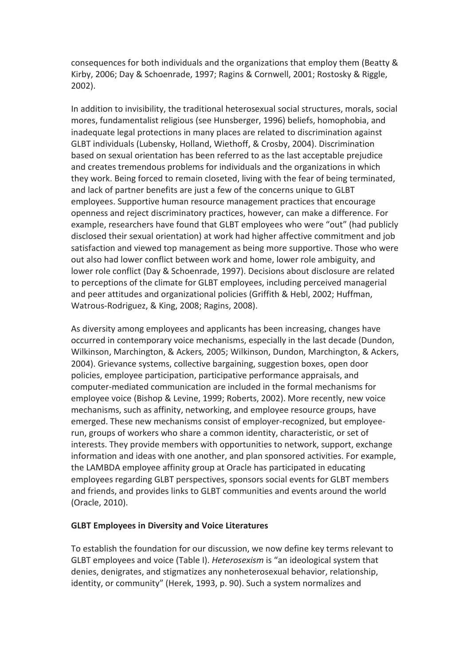consequences for both individuals and the organizations that employ them (Beatty & Kirby, 2006; Day & Schoenrade, 1997; Ragins & Cornwell, 2001; Rostosky & Riggle, 2002).

In addition to invisibility, the traditional heterosexual social structures, morals, social mores, fundamentalist religious (see Hunsberger, 1996) beliefs, homophobia, and inadequate legal protections in many places are related to discrimination against GLBT individuals (Lubensky, Holland, Wiethoff, & Crosby, 2004). Discrimination based on sexual orientation has been referred to as the last acceptable prejudice and creates tremendous problems for individuals and the organizations in which they work. Being forced to remain closeted, living with the fear of being terminated, and lack of partner benefits are just a few of the concerns unique to GLBT employees. Supportive human resource management practices that encourage openness and reject discriminatory practices, however, can make a difference. For example, researchers have found that GLBT employees who were "out" (had publicly disclosed their sexual orientation) at work had higher affective commitment and job satisfaction and viewed top management as being more supportive. Those who were out also had lower conflict between work and home, lower role ambiguity, and lower role conflict (Day & Schoenrade, 1997). Decisions about disclosure are related to perceptions of the climate for GLBT employees, including perceived managerial and peer attitudes and organizational policies (Griffith & Hebl, 2002; Huffman, Watrous-Rodriguez, & King, 2008; Ragins, 2008).

As diversity among employees and applicants has been increasing, changes have occurred in contemporary voice mechanisms, especially in the last decade (Dundon, Wilkinson, Marchington, & Ackers*,* 2005; Wilkinson, Dundon, Marchington, & Ackers, 2004). Grievance systems, collective bargaining, suggestion boxes, open door policies, employee participation, participative performance appraisals, and computer-mediated communication are included in the formal mechanisms for employee voice (Bishop & Levine, 1999; Roberts, 2002). More recently, new voice mechanisms, such as affinity, networking, and employee resource groups, have emerged. These new mechanisms consist of employer-recognized, but employeerun, groups of workers who share a common identity, characteristic, or set of interests. They provide members with opportunities to network, support, exchange information and ideas with one another, and plan sponsored activities. For example, the LAMBDA employee affinity group at Oracle has participated in educating employees regarding GLBT perspectives, sponsors social events for GLBT members and friends, and provides links to GLBT communities and events around the world (Oracle, 2010).

#### **GLBT Employees in Diversity and Voice Literatures**

To establish the foundation for our discussion, we now define key terms relevant to GLBT employees and voice (Table I). *Heterosexism* is "an ideological system that denies, denigrates, and stigmatizes any nonheterosexual behavior, relationship, identity, or community" (Herek, 1993, p. 90). Such a system normalizes and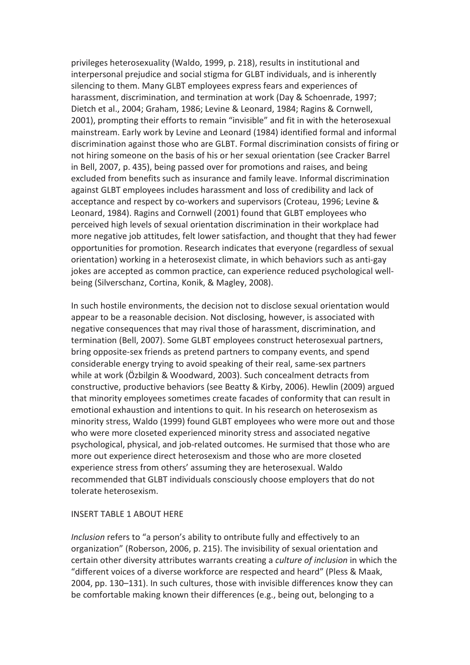privileges heterosexuality (Waldo, 1999, p. 218), results in institutional and interpersonal prejudice and social stigma for GLBT individuals, and is inherently silencing to them. Many GLBT employees express fears and experiences of harassment, discrimination, and termination at work (Day & Schoenrade, 1997; Dietch et al., 2004; Graham, 1986; Levine & Leonard, 1984; Ragins & Cornwell, 2001), prompting their efforts to remain "invisible" and fit in with the heterosexual mainstream. Early work by Levine and Leonard (1984) identified formal and informal discrimination against those who are GLBT. Formal discrimination consists of firing or not hiring someone on the basis of his or her sexual orientation (see Cracker Barrel in Bell, 2007, p. 435), being passed over for promotions and raises, and being excluded from benefits such as insurance and family leave. Informal discrimination against GLBT employees includes harassment and loss of credibility and lack of acceptance and respect by co-workers and supervisors (Croteau, 1996; Levine & Leonard, 1984). Ragins and Cornwell (2001) found that GLBT employees who perceived high levels of sexual orientation discrimination in their workplace had more negative job attitudes, felt lower satisfaction, and thought that they had fewer opportunities for promotion. Research indicates that everyone (regardless of sexual orientation) working in a heterosexist climate, in which behaviors such as anti-gay jokes are accepted as common practice, can experience reduced psychological wellbeing (Silverschanz, Cortina, Konik, & Magley, 2008).

In such hostile environments, the decision not to disclose sexual orientation would appear to be a reasonable decision. Not disclosing, however, is associated with negative consequences that may rival those of harassment, discrimination, and termination (Bell, 2007). Some GLBT employees construct heterosexual partners, bring opposite-sex friends as pretend partners to company events, and spend considerable energy trying to avoid speaking of their real, same-sex partners while at work (Özbilgin & Woodward, 2003). Such concealment detracts from constructive, productive behaviors (see Beatty & Kirby, 2006). Hewlin (2009) argued that minority employees sometimes create facades of conformity that can result in emotional exhaustion and intentions to quit. In his research on heterosexism as minority stress, Waldo (1999) found GLBT employees who were more out and those who were more closeted experienced minority stress and associated negative psychological, physical, and job-related outcomes. He surmised that those who are more out experience direct heterosexism and those who are more closeted experience stress from others' assuming they are heterosexual. Waldo recommended that GLBT individuals consciously choose employers that do not tolerate heterosexism.

#### INSERT TABLE 1 ABOUT HERE

*Inclusion* refers to "a person's ability to ontribute fully and effectively to an organization" (Roberson, 2006, p. 215). The invisibility of sexual orientation and certain other diversity attributes warrants creating a *culture of inclusion* in which the "different voices of a diverse workforce are respected and heard" (Pless & Maak, 2004, pp. 130–131). In such cultures, those with invisible differences know they can be comfortable making known their differences (e.g., being out, belonging to a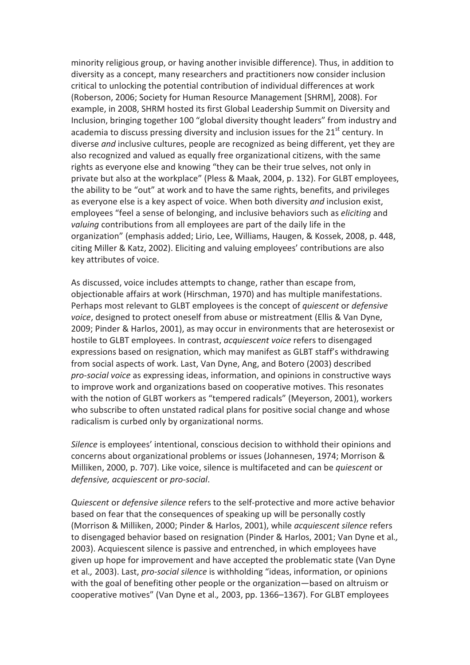minority religious group, or having another invisible difference). Thus, in addition to diversity as a concept, many researchers and practitioners now consider inclusion critical to unlocking the potential contribution of individual differences at work (Roberson, 2006; Society for Human Resource Management [SHRM], 2008). For example, in 2008, SHRM hosted its first Global Leadership Summit on Diversity and Inclusion, bringing together 100 "global diversity thought leaders" from industry and academia to discuss pressing diversity and inclusion issues for the  $21<sup>st</sup>$  century. In diverse *and* inclusive cultures, people are recognized as being different, yet they are also recognized and valued as equally free organizational citizens, with the same rights as everyone else and knowing "they can be their true selves, not only in private but also at the workplace" (Pless & Maak, 2004, p. 132). For GLBT employees, the ability to be "out" at work and to have the same rights, benefits, and privileges as everyone else is a key aspect of voice. When both diversity *and* inclusion exist, employees "feel a sense of belonging, and inclusive behaviors such as *eliciting* and *valuing* contributions from all employees are part of the daily life in the organization" (emphasis added; Lirio, Lee, Williams, Haugen, & Kossek, 2008, p. 448, citing Miller & Katz, 2002). Eliciting and valuing employees' contributions are also key attributes of voice.

As discussed, voice includes attempts to change, rather than escape from, objectionable affairs at work (Hirschman, 1970) and has multiple manifestations. Perhaps most relevant to GLBT employees is the concept of *quiescent* or *defensive voice*, designed to protect oneself from abuse or mistreatment (Ellis & Van Dyne, 2009; Pinder & Harlos, 2001), as may occur in environments that are heterosexist or hostile to GLBT employees. In contrast, *acquiescent voice* refers to disengaged expressions based on resignation, which may manifest as GLBT staff's withdrawing from social aspects of work. Last, Van Dyne, Ang, and Botero (2003) described *pro-social voice* as expressing ideas, information, and opinions in constructive ways to improve work and organizations based on cooperative motives. This resonates with the notion of GLBT workers as "tempered radicals" (Meyerson, 2001), workers who subscribe to often unstated radical plans for positive social change and whose radicalism is curbed only by organizational norms.

*Silence* is employees' intentional, conscious decision to withhold their opinions and concerns about organizational problems or issues (Johannesen, 1974; Morrison & Milliken, 2000, p. 707). Like voice, silence is multifaceted and can be *quiescent* or *defensive, acquiescent* or *pro-social*.

*Quiescent* or *defensive silence* refers to the self-protective and more active behavior based on fear that the consequences of speaking up will be personally costly (Morrison & Milliken, 2000; Pinder & Harlos, 2001), while *acquiescent silence* refers to disengaged behavior based on resignation (Pinder & Harlos, 2001; Van Dyne et al*.,*  2003). Acquiescent silence is passive and entrenched, in which employees have given up hope for improvement and have accepted the problematic state (Van Dyne et al*.,* 2003). Last, *pro-social silence* is withholding "ideas, information, or opinions with the goal of benefiting other people or the organization—based on altruism or cooperative motives" (Van Dyne et al.*,* 2003, pp. 1366–1367). For GLBT employees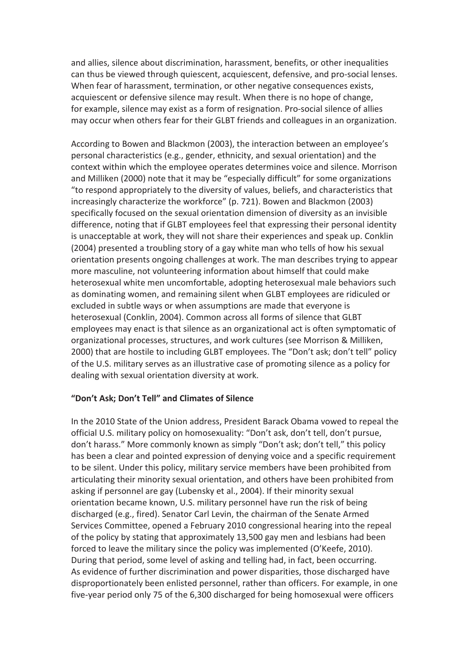and allies, silence about discrimination, harassment, benefits, or other inequalities can thus be viewed through quiescent, acquiescent, defensive, and pro-social lenses. When fear of harassment, termination, or other negative consequences exists, acquiescent or defensive silence may result. When there is no hope of change, for example, silence may exist as a form of resignation. Pro-social silence of allies may occur when others fear for their GLBT friends and colleagues in an organization.

According to Bowen and Blackmon (2003), the interaction between an employee's personal characteristics (e.g., gender, ethnicity, and sexual orientation) and the context within which the employee operates determines voice and silence. Morrison and Milliken (2000) note that it may be "especially difficult" for some organizations "to respond appropriately to the diversity of values, beliefs, and characteristics that increasingly characterize the workforce" (p. 721). Bowen and Blackmon (2003) specifically focused on the sexual orientation dimension of diversity as an invisible difference, noting that if GLBT employees feel that expressing their personal identity is unacceptable at work, they will not share their experiences and speak up. Conklin (2004) presented a troubling story of a gay white man who tells of how his sexual orientation presents ongoing challenges at work. The man describes trying to appear more masculine, not volunteering information about himself that could make heterosexual white men uncomfortable, adopting heterosexual male behaviors such as dominating women, and remaining silent when GLBT employees are ridiculed or excluded in subtle ways or when assumptions are made that everyone is heterosexual (Conklin, 2004). Common across all forms of silence that GLBT employees may enact is that silence as an organizational act is often symptomatic of organizational processes, structures, and work cultures (see Morrison & Milliken, 2000) that are hostile to including GLBT employees. The "Don't ask; don't tell" policy of the U.S. military serves as an illustrative case of promoting silence as a policy for dealing with sexual orientation diversity at work.

#### **"Don't Ask; Don't Tell" and Climates of Silence**

In the 2010 State of the Union address, President Barack Obama vowed to repeal the official U.S. military policy on homosexuality: "Don't ask, don't tell, don't pursue, don't harass." More commonly known as simply "Don't ask; don't tell," this policy has been a clear and pointed expression of denying voice and a specific requirement to be silent. Under this policy, military service members have been prohibited from articulating their minority sexual orientation, and others have been prohibited from asking if personnel are gay (Lubensky et al., 2004). If their minority sexual orientation became known, U.S. military personnel have run the risk of being discharged (e.g., fired). Senator Carl Levin, the chairman of the Senate Armed Services Committee, opened a February 2010 congressional hearing into the repeal of the policy by stating that approximately 13,500 gay men and lesbians had been forced to leave the military since the policy was implemented (O'Keefe, 2010). During that period, some level of asking and telling had, in fact, been occurring. As evidence of further discrimination and power disparities, those discharged have disproportionately been enlisted personnel, rather than officers. For example, in one five-year period only 75 of the 6,300 discharged for being homosexual were officers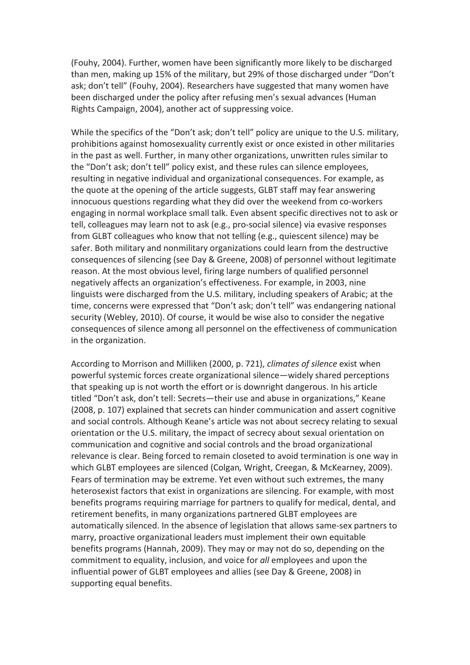(Fouhy, 2004). Further, women have been significantly more likely to be discharged than men, making up 15% of the military, but 29% of those discharged under "Don't ask; don't tell" (Fouhy, 2004). Researchers have suggested that many women have been discharged under the policy after refusing men's sexual advances (Human Rights Campaign, 2004), another act of suppressing voice.

While the specifics of the "Don't ask; don't tell" policy are unique to the U.S. military, prohibitions against homosexuality currently exist or once existed in other militaries in the past as well. Further, in many other organizations, unwritten rules similar to the "Don't ask; don't tell" policy exist, and these rules can silence employees, resulting in negative individual and organizational consequences. For example, as the quote at the opening of the article suggests, GLBT staff may fear answering innocuous questions regarding what they did over the weekend from co-workers engaging in normal workplace small talk. Even absent specific directives not to ask or tell, colleagues may learn not to ask (e.g., pro-social silence) via evasive responses from GLBT colleagues who know that not telling (e.g., quiescent silence) may be safer. Both military and nonmilitary organizations could learn from the destructive consequences of silencing (see Day & Greene, 2008) of personnel without legitimate reason. At the most obvious level, firing large numbers of qualified personnel negatively affects an organization's effectiveness. For example, in 2003, nine linguists were discharged from the U.S. military, including speakers of Arabic; at the time, concerns were expressed that "Don't ask; don't tell" was endangering national security (Webley, 2010). Of course, it would be wise also to consider the negative consequences of silence among all personnel on the effectiveness of communication in the organization.

According to Morrison and Milliken (2000, p. 721), *climates of silence* exist when powerful systemic forces create organizational silence—widely shared perceptions that speaking up is not worth the effort or is downright dangerous. In his article titled "Don't ask, don't tell: Secrets—their use and abuse in organizations," Keane (2008, p. 107) explained that secrets can hinder communication and assert cognitive and social controls. Although Keane's article was not about secrecy relating to sexual orientation or the U.S. military, the impact of secrecy about sexual orientation on communication and cognitive and social controls and the broad organizational relevance is clear. Being forced to remain closeted to avoid termination is one way in which GLBT employees are silenced (Colgan*,* Wright, Creegan, & McKearney, 2009). Fears of termination may be extreme. Yet even without such extremes, the many heterosexist factors that exist in organizations are silencing. For example, with most benefits programs requiring marriage for partners to qualify for medical, dental, and retirement benefits, in many organizations partnered GLBT employees are automatically silenced. In the absence of legislation that allows same-sex partners to marry, proactive organizational leaders must implement their own equitable benefits programs (Hannah, 2009). They may or may not do so, depending on the commitment to equality, inclusion, and voice for *all* employees and upon the influential power of GLBT employees and allies (see Day & Greene, 2008) in supporting equal benefits.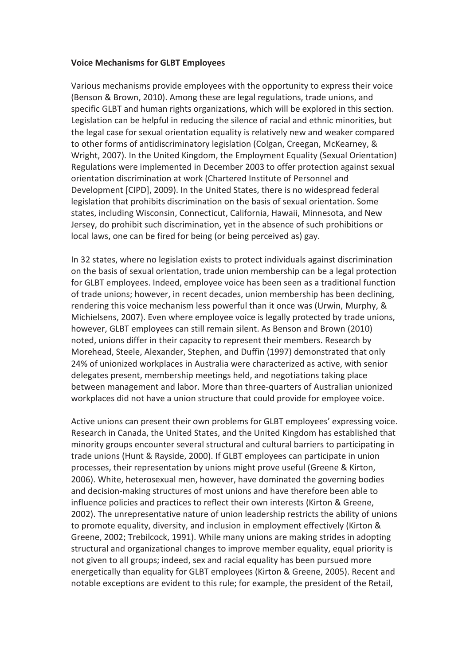#### **Voice Mechanisms for GLBT Employees**

Various mechanisms provide employees with the opportunity to express their voice (Benson & Brown, 2010). Among these are legal regulations, trade unions, and specific GLBT and human rights organizations, which will be explored in this section. Legislation can be helpful in reducing the silence of racial and ethnic minorities, but the legal case for sexual orientation equality is relatively new and weaker compared to other forms of antidiscriminatory legislation (Colgan, Creegan, McKearney, & Wright, 2007). In the United Kingdom, the Employment Equality (Sexual Orientation) Regulations were implemented in December 2003 to offer protection against sexual orientation discrimination at work (Chartered Institute of Personnel and Development [CIPD], 2009). In the United States, there is no widespread federal legislation that prohibits discrimination on the basis of sexual orientation. Some states, including Wisconsin, Connecticut, California, Hawaii, Minnesota, and New Jersey, do prohibit such discrimination, yet in the absence of such prohibitions or local laws, one can be fired for being (or being perceived as) gay.

In 32 states, where no legislation exists to protect individuals against discrimination on the basis of sexual orientation, trade union membership can be a legal protection for GLBT employees. Indeed, employee voice has been seen as a traditional function of trade unions; however, in recent decades, union membership has been declining, rendering this voice mechanism less powerful than it once was (Urwin, Murphy, & Michielsens, 2007). Even where employee voice is legally protected by trade unions, however, GLBT employees can still remain silent. As Benson and Brown (2010) noted, unions differ in their capacity to represent their members. Research by Morehead, Steele, Alexander, Stephen, and Duffin (1997) demonstrated that only 24% of unionized workplaces in Australia were characterized as active, with senior delegates present, membership meetings held, and negotiations taking place between management and labor. More than three-quarters of Australian unionized workplaces did not have a union structure that could provide for employee voice.

Active unions can present their own problems for GLBT employees' expressing voice. Research in Canada, the United States, and the United Kingdom has established that minority groups encounter several structural and cultural barriers to participating in trade unions (Hunt & Rayside, 2000). If GLBT employees can participate in union processes, their representation by unions might prove useful (Greene & Kirton, 2006). White, heterosexual men, however, have dominated the governing bodies and decision-making structures of most unions and have therefore been able to influence policies and practices to reflect their own interests (Kirton & Greene, 2002). The unrepresentative nature of union leadership restricts the ability of unions to promote equality, diversity, and inclusion in employment effectively (Kirton & Greene, 2002; Trebilcock, 1991). While many unions are making strides in adopting structural and organizational changes to improve member equality, equal priority is not given to all groups; indeed, sex and racial equality has been pursued more energetically than equality for GLBT employees (Kirton & Greene, 2005). Recent and notable exceptions are evident to this rule; for example, the president of the Retail,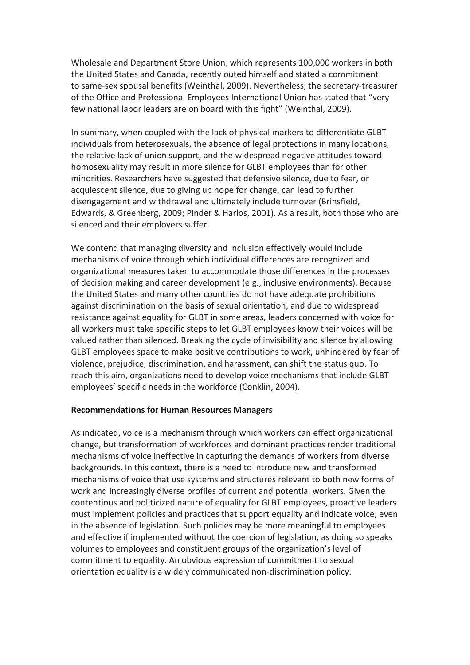Wholesale and Department Store Union, which represents 100,000 workers in both the United States and Canada, recently outed himself and stated a commitment to same-sex spousal benefits (Weinthal, 2009). Nevertheless, the secretary-treasurer of the Office and Professional Employees International Union has stated that "very few national labor leaders are on board with this fight" (Weinthal, 2009).

In summary, when coupled with the lack of physical markers to differentiate GLBT individuals from heterosexuals, the absence of legal protections in many locations, the relative lack of union support, and the widespread negative attitudes toward homosexuality may result in more silence for GLBT employees than for other minorities. Researchers have suggested that defensive silence, due to fear, or acquiescent silence, due to giving up hope for change, can lead to further disengagement and withdrawal and ultimately include turnover (Brinsfield, Edwards, & Greenberg, 2009; Pinder & Harlos, 2001). As a result, both those who are silenced and their employers suffer.

We contend that managing diversity and inclusion effectively would include mechanisms of voice through which individual differences are recognized and organizational measures taken to accommodate those differences in the processes of decision making and career development (e.g., inclusive environments). Because the United States and many other countries do not have adequate prohibitions against discrimination on the basis of sexual orientation, and due to widespread resistance against equality for GLBT in some areas, leaders concerned with voice for all workers must take specific steps to let GLBT employees know their voices will be valued rather than silenced. Breaking the cycle of invisibility and silence by allowing GLBT employees space to make positive contributions to work, unhindered by fear of violence, prejudice, discrimination, and harassment, can shift the status quo. To reach this aim, organizations need to develop voice mechanisms that include GLBT employees' specific needs in the workforce (Conklin, 2004).

#### **Recommendations for Human Resources Managers**

As indicated, voice is a mechanism through which workers can effect organizational change, but transformation of workforces and dominant practices render traditional mechanisms of voice ineffective in capturing the demands of workers from diverse backgrounds. In this context, there is a need to introduce new and transformed mechanisms of voice that use systems and structures relevant to both new forms of work and increasingly diverse profiles of current and potential workers. Given the contentious and politicized nature of equality for GLBT employees, proactive leaders must implement policies and practices that support equality and indicate voice, even in the absence of legislation. Such policies may be more meaningful to employees and effective if implemented without the coercion of legislation, as doing so speaks volumes to employees and constituent groups of the organization's level of commitment to equality. An obvious expression of commitment to sexual orientation equality is a widely communicated non-discrimination policy.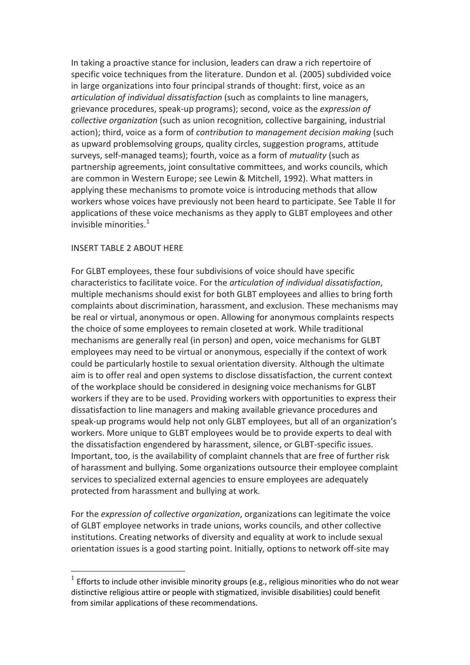In taking a proactive stance for inclusion, leaders can draw a rich repertoire of specific voice techniques from the literature. Dundon et al*.* (2005) subdivided voice in large organizations into four principal strands of thought: first, voice as an *articulation of individual dissatisfaction* (such as complaints to line managers, grievance procedures, speak-up programs); second, voice as the *expression of collective organization* (such as union recognition, collective bargaining, industrial action); third, voice as a form of *contribution to management decision making* (such as upward problemsolving groups, quality circles, suggestion programs, attitude surveys, self-managed teams); fourth, voice as a form of *mutuality* (such as partnership agreements, joint consultative committees, and works councils, which are common in Western Europe; see Lewin & Mitchell, 1992). What matters in applying these mechanisms to promote voice is introducing methods that allow workers whose voices have previously not been heard to participate. See Table II for applications of these voice mechanisms as they apply to GLBT employees and other invisible minorities.<sup>[1](#page-1-0)</sup>

#### INSERT TABLE 2 ABOUT HERE

For GLBT employees, these four subdivisions of voice should have specific characteristics to facilitate voice. For the *articulation of individual dissatisfaction*, multiple mechanisms should exist for both GLBT employees and allies to bring forth complaints about discrimination, harassment, and exclusion. These mechanisms may be real or virtual, anonymous or open. Allowing for anonymous complaints respects the choice of some employees to remain closeted at work. While traditional mechanisms are generally real (in person) and open, voice mechanisms for GLBT employees may need to be virtual or anonymous, especially if the context of work could be particularly hostile to sexual orientation diversity. Although the ultimate aim is to offer real and open systems to disclose dissatisfaction, the current context of the workplace should be considered in designing voice mechanisms for GLBT workers if they are to be used. Providing workers with opportunities to express their dissatisfaction to line managers and making available grievance procedures and speak-up programs would help not only GLBT employees, but all of an organization's workers. More unique to GLBT employees would be to provide experts to deal with the dissatisfaction engendered by harassment, silence, or GLBT-specific issues. Important, too, is the availability of complaint channels that are free of further risk of harassment and bullying. Some organizations outsource their employee complaint services to specialized external agencies to ensure employees are adequately protected from harassment and bullying at work.

For the *expression of collective organization*, organizations can legitimate the voice of GLBT employee networks in trade unions, works councils, and other collective institutions. Creating networks of diversity and equality at work to include sexual orientation issues is a good starting point. Initially, options to network off-site may

 $1$  Efforts to include other invisible minority groups (e.g., religious minorities who do not wear distinctive religious attire or people with stigmatized, invisible disabilities) could benefit from similar applications of these recommendations.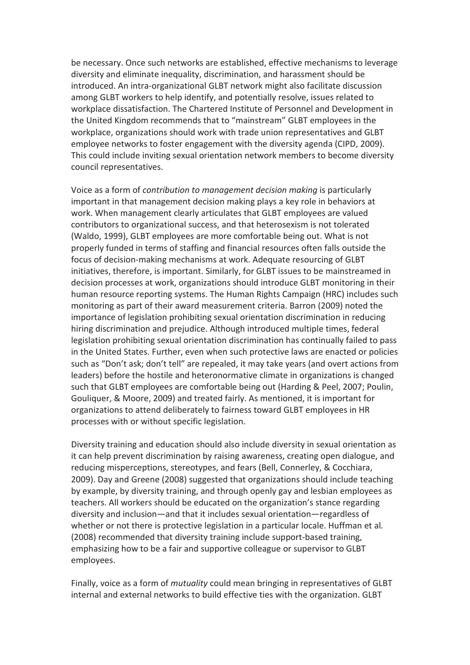be necessary. Once such networks are established, effective mechanisms to leverage diversity and eliminate inequality, discrimination, and harassment should be introduced. An intra-organizational GLBT network might also facilitate discussion among GLBT workers to help identify, and potentially resolve, issues related to workplace dissatisfaction. The Chartered Institute of Personnel and Development in the United Kingdom recommends that to "mainstream" GLBT employees in the workplace, organizations should work with trade union representatives and GLBT employee networks to foster engagement with the diversity agenda (CIPD, 2009). This could include inviting sexual orientation network members to become diversity council representatives.

Voice as a form of *contribution to management decision making* is particularly important in that management decision making plays a key role in behaviors at work. When management clearly articulates that GLBT employees are valued contributors to organizational success, and that heterosexism is not tolerated (Waldo, 1999), GLBT employees are more comfortable being out. What is not properly funded in terms of staffing and financial resources often falls outside the focus of decision-making mechanisms at work. Adequate resourcing of GLBT initiatives, therefore, is important. Similarly, for GLBT issues to be mainstreamed in decision processes at work, organizations should introduce GLBT monitoring in their human resource reporting systems. The Human Rights Campaign (HRC) includes such monitoring as part of their award measurement criteria. Barron (2009) noted the importance of legislation prohibiting sexual orientation discrimination in reducing hiring discrimination and prejudice. Although introduced multiple times, federal legislation prohibiting sexual orientation discrimination has continually failed to pass in the United States. Further, even when such protective laws are enacted or policies such as "Don't ask; don't tell" are repealed, it may take years (and overt actions from leaders) before the hostile and heteronormative climate in organizations is changed such that GLBT employees are comfortable being out (Harding & Peel, 2007; Poulin, Gouliquer, & Moore, 2009) and treated fairly. As mentioned, it is important for organizations to attend deliberately to fairness toward GLBT employees in HR processes with or without specific legislation.

Diversity training and education should also include diversity in sexual orientation as it can help prevent discrimination by raising awareness, creating open dialogue, and reducing misperceptions, stereotypes, and fears (Bell, Connerley, & Cocchiara, 2009). Day and Greene (2008) suggested that organizations should include teaching by example, by diversity training, and through openly gay and lesbian employees as teachers. All workers should be educated on the organization's stance regarding diversity and inclusion—and that it includes sexual orientation—regardless of whether or not there is protective legislation in a particular locale. Huffman et al*.* (2008) recommended that diversity training include support-based training, emphasizing how to be a fair and supportive colleague or supervisor to GLBT employees.

Finally, voice as a form of *mutuality* could mean bringing in representatives of GLBT internal and external networks to build effective ties with the organization. GLBT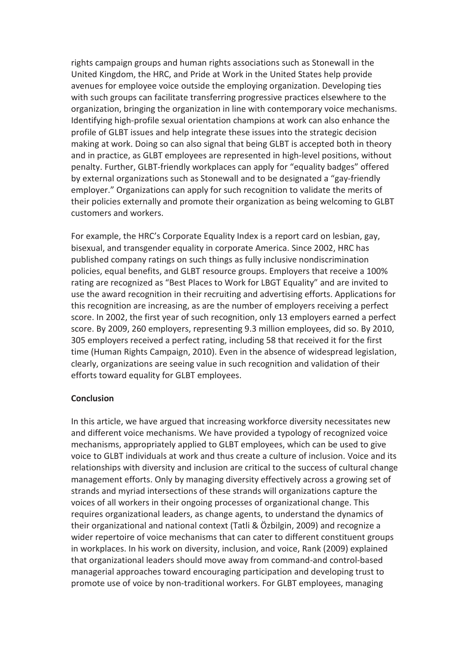rights campaign groups and human rights associations such as Stonewall in the United Kingdom, the HRC, and Pride at Work in the United States help provide avenues for employee voice outside the employing organization. Developing ties with such groups can facilitate transferring progressive practices elsewhere to the organization, bringing the organization in line with contemporary voice mechanisms. Identifying high-profile sexual orientation champions at work can also enhance the profile of GLBT issues and help integrate these issues into the strategic decision making at work. Doing so can also signal that being GLBT is accepted both in theory and in practice, as GLBT employees are represented in high-level positions, without penalty. Further, GLBT-friendly workplaces can apply for "equality badges" offered by external organizations such as Stonewall and to be designated a "gay-friendly employer." Organizations can apply for such recognition to validate the merits of their policies externally and promote their organization as being welcoming to GLBT customers and workers.

For example, the HRC's Corporate Equality Index is a report card on lesbian, gay, bisexual, and transgender equality in corporate America. Since 2002, HRC has published company ratings on such things as fully inclusive nondiscrimination policies, equal benefits, and GLBT resource groups. Employers that receive a 100% rating are recognized as "Best Places to Work for LBGT Equality" and are invited to use the award recognition in their recruiting and advertising efforts. Applications for this recognition are increasing, as are the number of employers receiving a perfect score. In 2002, the first year of such recognition, only 13 employers earned a perfect score. By 2009, 260 employers, representing 9.3 million employees, did so. By 2010, 305 employers received a perfect rating, including 58 that received it for the first time (Human Rights Campaign, 2010). Even in the absence of widespread legislation, clearly, organizations are seeing value in such recognition and validation of their efforts toward equality for GLBT employees.

#### **Conclusion**

In this article, we have argued that increasing workforce diversity necessitates new and different voice mechanisms. We have provided a typology of recognized voice mechanisms, appropriately applied to GLBT employees, which can be used to give voice to GLBT individuals at work and thus create a culture of inclusion. Voice and its relationships with diversity and inclusion are critical to the success of cultural change management efforts. Only by managing diversity effectively across a growing set of strands and myriad intersections of these strands will organizations capture the voices of all workers in their ongoing processes of organizational change. This requires organizational leaders, as change agents, to understand the dynamics of their organizational and national context (Tatli & Özbilgin, 2009) and recognize a wider repertoire of voice mechanisms that can cater to different constituent groups in workplaces. In his work on diversity, inclusion, and voice, Rank (2009) explained that organizational leaders should move away from command-and control-based managerial approaches toward encouraging participation and developing trust to promote use of voice by non-traditional workers. For GLBT employees, managing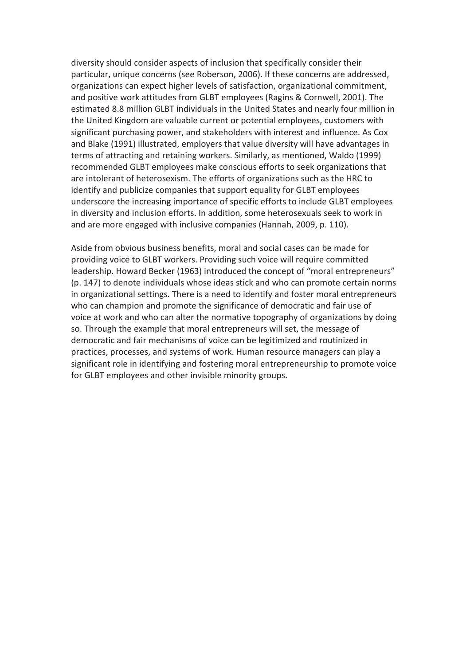diversity should consider aspects of inclusion that specifically consider their particular, unique concerns (see Roberson, 2006). If these concerns are addressed, organizations can expect higher levels of satisfaction, organizational commitment, and positive work attitudes from GLBT employees (Ragins & Cornwell, 2001). The estimated 8.8 million GLBT individuals in the United States and nearly four million in the United Kingdom are valuable current or potential employees, customers with significant purchasing power, and stakeholders with interest and influence. As Cox and Blake (1991) illustrated, employers that value diversity will have advantages in terms of attracting and retaining workers. Similarly, as mentioned, Waldo (1999) recommended GLBT employees make conscious efforts to seek organizations that are intolerant of heterosexism. The efforts of organizations such as the HRC to identify and publicize companies that support equality for GLBT employees underscore the increasing importance of specific efforts to include GLBT employees in diversity and inclusion efforts. In addition, some heterosexuals seek to work in and are more engaged with inclusive companies (Hannah, 2009, p. 110).

Aside from obvious business benefits, moral and social cases can be made for providing voice to GLBT workers. Providing such voice will require committed leadership. Howard Becker (1963) introduced the concept of "moral entrepreneurs" (p. 147) to denote individuals whose ideas stick and who can promote certain norms in organizational settings. There is a need to identify and foster moral entrepreneurs who can champion and promote the significance of democratic and fair use of voice at work and who can alter the normative topography of organizations by doing so. Through the example that moral entrepreneurs will set, the message of democratic and fair mechanisms of voice can be legitimized and routinized in practices, processes, and systems of work. Human resource managers can play a significant role in identifying and fostering moral entrepreneurship to promote voice for GLBT employees and other invisible minority groups.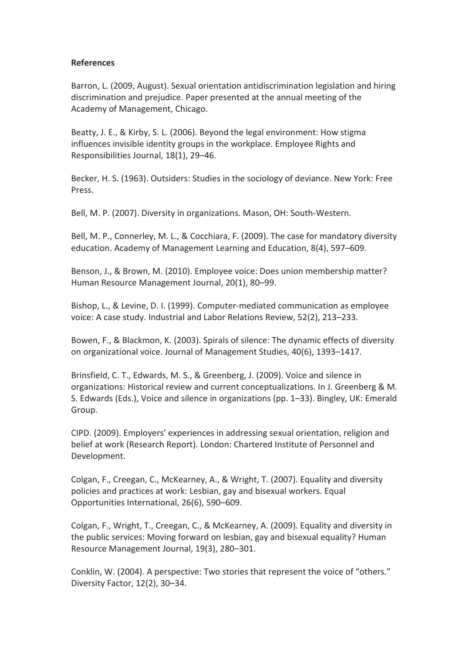#### **References**

Barron, L. (2009, August). Sexual orientation antidiscrimination legislation and hiring discrimination and prejudice. Paper presented at the annual meeting of the Academy of Management, Chicago.

Beatty, J. E., & Kirby, S. L. (2006). Beyond the legal environment: How stigma influences invisible identity groups in the workplace. Employee Rights and Responsibilities Journal, 18(1), 29–46.

Becker, H. S. (1963). Outsiders: Studies in the sociology of deviance. New York: Free Press.

Bell, M. P. (2007). Diversity in organizations. Mason, OH: South-Western.

Bell, M. P., Connerley, M. L., & Cocchiara, F. (2009). The case for mandatory diversity education. Academy of Management Learning and Education, 8(4), 597–609.

Benson, J., & Brown, M. (2010). Employee voice: Does union membership matter? Human Resource Management Journal, 20(1), 80–99.

Bishop, L., & Levine, D. I. (1999). Computer-mediated communication as employee voice: A case study. Industrial and Labor Relations Review, 52(2), 213–233.

Bowen, F., & Blackmon, K. (2003). Spirals of silence: The dynamic effects of diversity on organizational voice. Journal of Management Studies, 40(6), 1393–1417.

Brinsfield, C. T., Edwards, M. S., & Greenberg, J. (2009). Voice and silence in organizations: Historical review and current conceptualizations. In J. Greenberg & M. S. Edwards (Eds.), Voice and silence in organizations (pp. 1–33). Bingley, UK: Emerald Group.

CIPD. (2009). Employers' experiences in addressing sexual orientation, religion and belief at work (Research Report). London: Chartered Institute of Personnel and Development.

Colgan, F., Creegan, C., McKearney, A., & Wright, T. (2007). Equality and diversity policies and practices at work: Lesbian, gay and bisexual workers. Equal Opportunities International, 26(6), 590–609.

Colgan, F., Wright, T., Creegan, C., & McKearney, A. (2009). Equality and diversity in the public services: Moving forward on lesbian, gay and bisexual equality? Human Resource Management Journal, 19(3), 280–301.

Conklin, W. (2004). A perspective: Two stories that represent the voice of "others." Diversity Factor, 12(2), 30–34.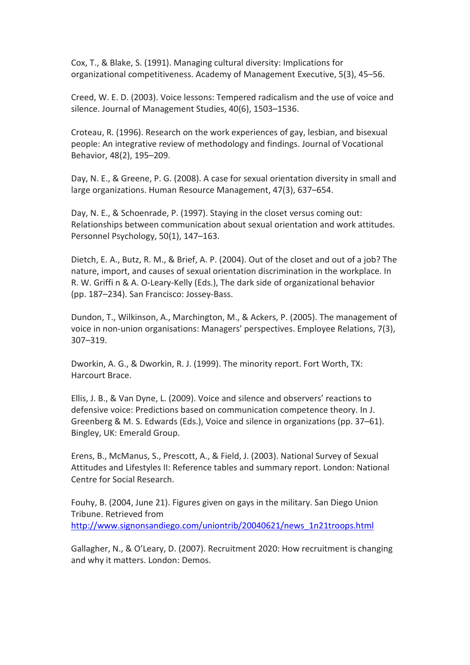Cox, T., & Blake, S. (1991). Managing cultural diversity: Implications for organizational competitiveness. Academy of Management Executive, 5(3), 45–56.

Creed, W. E. D. (2003). Voice lessons: Tempered radicalism and the use of voice and silence. Journal of Management Studies, 40(6), 1503–1536.

Croteau, R. (1996). Research on the work experiences of gay, lesbian, and bisexual people: An integrative review of methodology and findings. Journal of Vocational Behavior, 48(2), 195–209.

Day, N. E., & Greene, P. G. (2008). A case for sexual orientation diversity in small and large organizations. Human Resource Management, 47(3), 637–654.

Day, N. E., & Schoenrade, P. (1997). Staying in the closet versus coming out: Relationships between communication about sexual orientation and work attitudes. Personnel Psychology, 50(1), 147–163.

Dietch, E. A., Butz, R. M., & Brief, A. P. (2004). Out of the closet and out of a job? The nature, import, and causes of sexual orientation discrimination in the workplace. In R. W. Griffi n & A. O-Leary-Kelly (Eds.), The dark side of organizational behavior (pp. 187–234). San Francisco: Jossey-Bass.

Dundon, T., Wilkinson, A., Marchington, M., & Ackers, P. (2005). The management of voice in non-union organisations: Managers' perspectives. Employee Relations, 7(3), 307–319.

Dworkin, A. G., & Dworkin, R. J. (1999). The minority report. Fort Worth, TX: Harcourt Brace.

Ellis, J. B., & Van Dyne, L. (2009). Voice and silence and observers' reactions to defensive voice: Predictions based on communication competence theory. In J. Greenberg & M. S. Edwards (Eds.), Voice and silence in organizations (pp. 37–61). Bingley, UK: Emerald Group.

Erens, B., McManus, S., Prescott, A., & Field, J. (2003). National Survey of Sexual Attitudes and Lifestyles II: Reference tables and summary report. London: National Centre for Social Research.

Fouhy, B. (2004, June 21). Figures given on gays in the military. San Diego Union Tribune. Retrieved from [http://www.signonsandiego.com/uniontrib/20040621/news\\_1n21troops.html](http://www.signonsandiego.com/uniontrib/20040621/news_1n21troops.html)

Gallagher, N., & O'Leary, D. (2007). Recruitment 2020: How recruitment is changing and why it matters. London: Demos.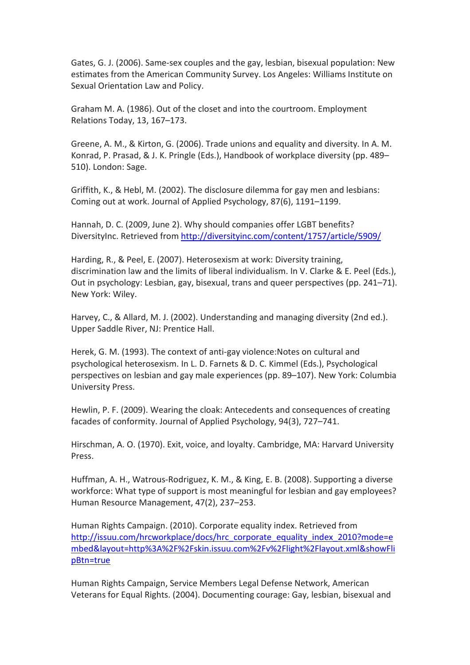Gates, G. J. (2006). Same-sex couples and the gay, lesbian, bisexual population: New estimates from the American Community Survey. Los Angeles: Williams Institute on Sexual Orientation Law and Policy.

Graham M. A. (1986). Out of the closet and into the courtroom. Employment Relations Today, 13, 167–173.

Greene, A. M., & Kirton, G. (2006). Trade unions and equality and diversity. In A. M. Konrad, P. Prasad, & J. K. Pringle (Eds.), Handbook of workplace diversity (pp. 489– 510). London: Sage.

Griffith, K., & Hebl, M. (2002). The disclosure dilemma for gay men and lesbians: Coming out at work. Journal of Applied Psychology, 87(6), 1191–1199.

Hannah, D. C. (2009, June 2). Why should companies offer LGBT benefits? DiversityInc. Retrieved from <http://diversityinc.com/content/1757/article/5909/>

Harding, R., & Peel, E. (2007). Heterosexism at work: Diversity training, discrimination law and the limits of liberal individualism. In V. Clarke & E. Peel (Eds.), Out in psychology: Lesbian, gay, bisexual, trans and queer perspectives (pp. 241–71). New York: Wiley.

Harvey, C., & Allard, M. J. (2002). Understanding and managing diversity (2nd ed.). Upper Saddle River, NJ: Prentice Hall.

Herek, G. M. (1993). The context of anti-gay violence:Notes on cultural and psychological heterosexism. In L. D. Farnets & D. C. Kimmel (Eds.), Psychological perspectives on lesbian and gay male experiences (pp. 89–107). New York: Columbia University Press.

Hewlin, P. F. (2009). Wearing the cloak: Antecedents and consequences of creating facades of conformity. Journal of Applied Psychology, 94(3), 727–741.

Hirschman, A. O. (1970). Exit, voice, and loyalty. Cambridge, MA: Harvard University Press.

Huffman, A. H., Watrous-Rodriguez, K. M., & King, E. B. (2008). Supporting a diverse workforce: What type of support is most meaningful for lesbian and gay employees? Human Resource Management, 47(2), 237–253.

Human Rights Campaign. (2010). Corporate equality index. Retrieved from [http://issuu.com/hrcworkplace/docs/hrc\\_corporate\\_equality\\_index\\_2010?mode=e](http://issuu.com/hrcworkplace/docs/hrc_corporate_equality_index_2010?mode=embed&layout=http%3A%2F%2Fskin.issuu.com%2Fv%2Flight%2Flayout.xml&showFlipBtn=true) [mbed&layout=http%3A%2F%2Fskin.issuu.com%2Fv%2Flight%2Flayout.xml&showFli](http://issuu.com/hrcworkplace/docs/hrc_corporate_equality_index_2010?mode=embed&layout=http%3A%2F%2Fskin.issuu.com%2Fv%2Flight%2Flayout.xml&showFlipBtn=true) [pBtn=true](http://issuu.com/hrcworkplace/docs/hrc_corporate_equality_index_2010?mode=embed&layout=http%3A%2F%2Fskin.issuu.com%2Fv%2Flight%2Flayout.xml&showFlipBtn=true)

Human Rights Campaign, Service Members Legal Defense Network, American Veterans for Equal Rights. (2004). Documenting courage: Gay, lesbian, bisexual and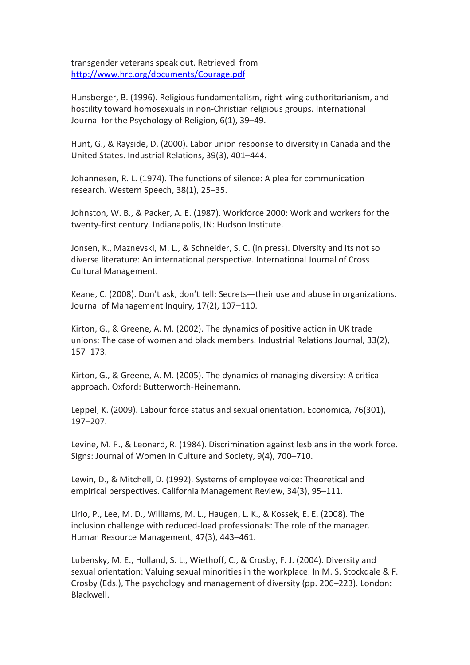transgender veterans speak out. Retrieved from <http://www.hrc.org/documents/Courage.pdf>

Hunsberger, B. (1996). Religious fundamentalism, right-wing authoritarianism, and hostility toward homosexuals in non-Christian religious groups. International Journal for the Psychology of Religion, 6(1), 39–49.

Hunt, G., & Rayside, D. (2000). Labor union response to diversity in Canada and the United States. Industrial Relations, 39(3), 401–444.

Johannesen, R. L. (1974). The functions of silence: A plea for communication research. Western Speech, 38(1), 25–35.

Johnston, W. B., & Packer, A. E. (1987). Workforce 2000: Work and workers for the twenty-first century. Indianapolis, IN: Hudson Institute.

Jonsen, K., Maznevski, M. L., & Schneider, S. C. (in press). Diversity and its not so diverse literature: An international perspective. International Journal of Cross Cultural Management.

Keane, C. (2008). Don't ask, don't tell: Secrets—their use and abuse in organizations. Journal of Management Inquiry, 17(2), 107–110.

Kirton, G., & Greene, A. M. (2002). The dynamics of positive action in UK trade unions: The case of women and black members. Industrial Relations Journal, 33(2), 157–173.

Kirton, G., & Greene, A. M. (2005). The dynamics of managing diversity: A critical approach. Oxford: Butterworth-Heinemann.

Leppel, K. (2009). Labour force status and sexual orientation. Economica, 76(301), 197–207.

Levine, M. P., & Leonard, R. (1984). Discrimination against lesbians in the work force. Signs: Journal of Women in Culture and Society, 9(4), 700–710.

Lewin, D., & Mitchell, D. (1992). Systems of employee voice: Theoretical and empirical perspectives. California Management Review, 34(3), 95–111.

Lirio, P., Lee, M. D., Williams, M. L., Haugen, L. K., & Kossek, E. E. (2008). The inclusion challenge with reduced-load professionals: The role of the manager. Human Resource Management, 47(3), 443–461.

Lubensky, M. E., Holland, S. L., Wiethoff, C., & Crosby, F. J. (2004). Diversity and sexual orientation: Valuing sexual minorities in the workplace. In M. S. Stockdale & F. Crosby (Eds.), The psychology and management of diversity (pp. 206–223). London: Blackwell.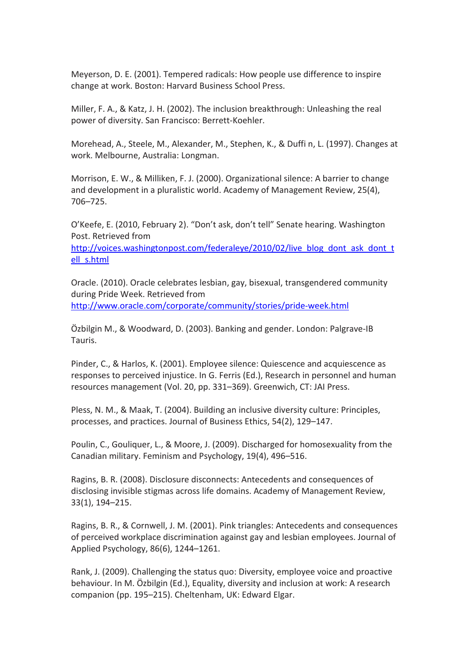Meyerson, D. E. (2001). Tempered radicals: How people use difference to inspire change at work. Boston: Harvard Business School Press.

Miller, F. A., & Katz, J. H. (2002). The inclusion breakthrough: Unleashing the real power of diversity. San Francisco: Berrett-Koehler.

Morehead, A., Steele, M., Alexander, M., Stephen, K., & Duffi n, L. (1997). Changes at work. Melbourne, Australia: Longman.

Morrison, E. W., & Milliken, F. J. (2000). Organizational silence: A barrier to change and development in a pluralistic world. Academy of Management Review, 25(4), 706–725.

O'Keefe, E. (2010, February 2). "Don't ask, don't tell" Senate hearing. Washington Post. Retrieved from

[http://voices.washingtonpost.com/federaleye/2010/02/live\\_blog\\_dont\\_ask\\_dont\\_t](http://voices.washingtonpost.com/federaleye/2010/02/live_blog_dont_ask_dont_tell_s.html) [ell\\_s.html](http://voices.washingtonpost.com/federaleye/2010/02/live_blog_dont_ask_dont_tell_s.html)

Oracle. (2010). Oracle celebrates lesbian, gay, bisexual, transgendered community during Pride Week. Retrieved from <http://www.oracle.com/corporate/community/stories/pride-week.html>

Özbilgin M., & Woodward, D. (2003). Banking and gender. London: Palgrave-IB Tauris.

Pinder, C., & Harlos, K. (2001). Employee silence: Quiescence and acquiescence as responses to perceived injustice. In G. Ferris (Ed.), Research in personnel and human resources management (Vol. 20, pp. 331–369). Greenwich, CT: JAI Press.

Pless, N. M., & Maak, T. (2004). Building an inclusive diversity culture: Principles, processes, and practices. Journal of Business Ethics, 54(2), 129–147.

Poulin, C., Gouliquer, L., & Moore, J. (2009). Discharged for homosexuality from the Canadian military. Feminism and Psychology, 19(4), 496–516.

Ragins, B. R. (2008). Disclosure disconnects: Antecedents and consequences of disclosing invisible stigmas across life domains. Academy of Management Review, 33(1), 194–215.

Ragins, B. R., & Cornwell, J. M. (2001). Pink triangles: Antecedents and consequences of perceived workplace discrimination against gay and lesbian employees. Journal of Applied Psychology, 86(6), 1244–1261.

Rank, J. (2009). Challenging the status quo: Diversity, employee voice and proactive behaviour. In M. Özbilgin (Ed.), Equality, diversity and inclusion at work: A research companion (pp. 195–215). Cheltenham, UK: Edward Elgar.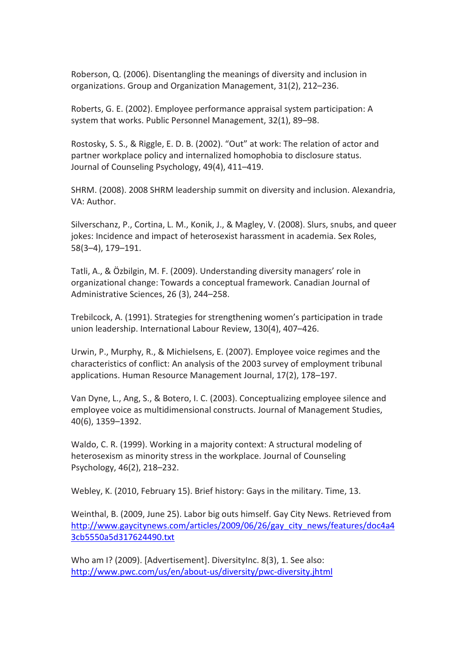Roberson, Q. (2006). Disentangling the meanings of diversity and inclusion in organizations. Group and Organization Management, 31(2), 212–236.

Roberts, G. E. (2002). Employee performance appraisal system participation: A system that works. Public Personnel Management, 32(1), 89–98.

Rostosky, S. S., & Riggle, E. D. B. (2002). "Out" at work: The relation of actor and partner workplace policy and internalized homophobia to disclosure status. Journal of Counseling Psychology, 49(4), 411–419.

SHRM. (2008). 2008 SHRM leadership summit on diversity and inclusion. Alexandria, VA: Author.

Silverschanz, P., Cortina, L. M., Konik, J., & Magley, V. (2008). Slurs, snubs, and queer jokes: Incidence and impact of heterosexist harassment in academia. Sex Roles, 58(3–4), 179–191.

Tatli, A., & Özbilgin, M. F. (2009). Understanding diversity managers' role in organizational change: Towards a conceptual framework. Canadian Journal of Administrative Sciences, 26 (3), 244–258.

Trebilcock, A. (1991). Strategies for strengthening women's participation in trade union leadership. International Labour Review, 130(4), 407–426.

Urwin, P., Murphy, R., & Michielsens, E. (2007). Employee voice regimes and the characteristics of conflict: An analysis of the 2003 survey of employment tribunal applications. Human Resource Management Journal, 17(2), 178–197.

Van Dyne, L., Ang, S., & Botero, I. C. (2003). Conceptualizing employee silence and employee voice as multidimensional constructs. Journal of Management Studies, 40(6), 1359–1392.

Waldo, C. R. (1999). Working in a majority context: A structural modeling of heterosexism as minority stress in the workplace. Journal of Counseling Psychology, 46(2), 218–232.

Webley, K. (2010, February 15). Brief history: Gays in the military. Time, 13.

Weinthal, B. (2009, June 25). Labor big outs himself. Gay City News. Retrieved from [http://www.gaycitynews.com/articles/2009/06/26/gay\\_city\\_news/features/doc4a4](http://www.gaycitynews.com/articles/2009/06/26/gay_city_news/features/doc4a43cb5550a5d317624490.txt) [3cb5550a5d317624490.txt](http://www.gaycitynews.com/articles/2009/06/26/gay_city_news/features/doc4a43cb5550a5d317624490.txt)

Who am I? (2009). [Advertisement]. DiversityInc. 8(3), 1. See also: <http://www.pwc.com/us/en/about-us/diversity/pwc-diversity.jhtml>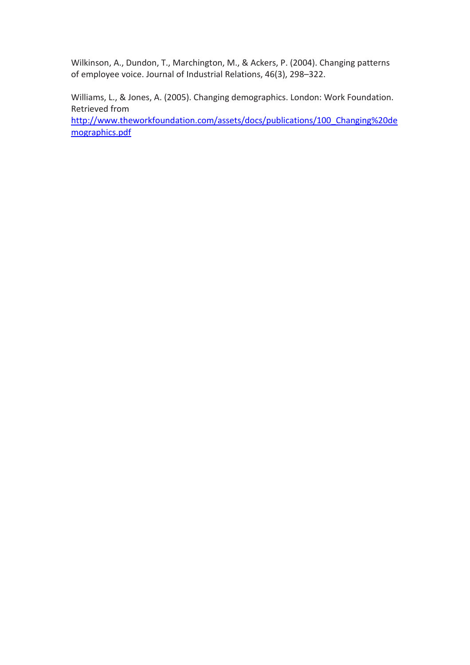Wilkinson, A., Dundon, T., Marchington, M., & Ackers, P. (2004). Changing patterns of employee voice. Journal of Industrial Relations, 46(3), 298–322.

Williams, L., & Jones, A. (2005). Changing demographics. London: Work Foundation. Retrieved from

[http://www.theworkfoundation.com/assets/docs/publications/100\\_Changing%20de](http://www.theworkfoundation.com/assets/docs/publications/100_Changing%20demographics.pdf) [mographics.pdf](http://www.theworkfoundation.com/assets/docs/publications/100_Changing%20demographics.pdf)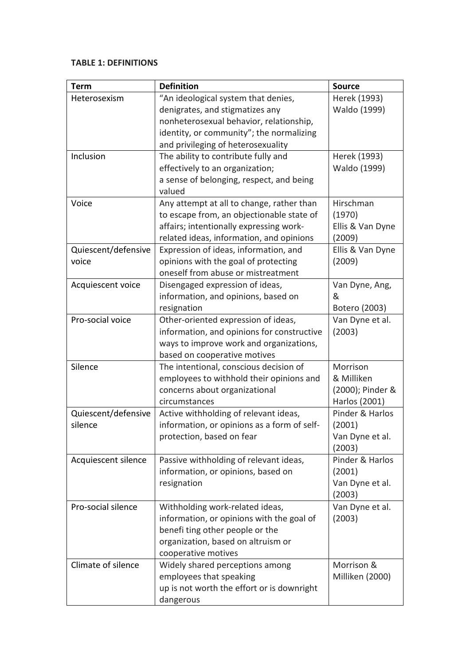#### **TABLE 1: DEFINITIONS**

| Term                | <b>Definition</b>                                                          | <b>Source</b>       |
|---------------------|----------------------------------------------------------------------------|---------------------|
| Heterosexism        | "An ideological system that denies,                                        | Herek (1993)        |
|                     | denigrates, and stigmatizes any                                            | Waldo (1999)        |
|                     | nonheterosexual behavior, relationship,                                    |                     |
|                     | identity, or community"; the normalizing                                   |                     |
|                     | and privileging of heterosexuality                                         |                     |
| Inclusion           | The ability to contribute fully and                                        | Herek (1993)        |
|                     | effectively to an organization;                                            | Waldo (1999)        |
|                     | a sense of belonging, respect, and being                                   |                     |
|                     | valued                                                                     |                     |
| Voice               | Any attempt at all to change, rather than                                  | Hirschman           |
|                     | to escape from, an objectionable state of                                  | (1970)              |
|                     | affairs; intentionally expressing work-                                    | Ellis & Van Dyne    |
|                     | related ideas, information, and opinions                                   | (2009)              |
| Quiescent/defensive | Expression of ideas, information, and                                      | Ellis & Van Dyne    |
| voice               | opinions with the goal of protecting<br>oneself from abuse or mistreatment | (2009)              |
|                     |                                                                            |                     |
| Acquiescent voice   | Disengaged expression of ideas,<br>information, and opinions, based on     | Van Dyne, Ang,<br>& |
|                     | resignation                                                                | Botero (2003)       |
| Pro-social voice    | Other-oriented expression of ideas,                                        | Van Dyne et al.     |
|                     | information, and opinions for constructive                                 | (2003)              |
|                     | ways to improve work and organizations,                                    |                     |
|                     | based on cooperative motives                                               |                     |
| Silence             | The intentional, conscious decision of                                     | Morrison            |
|                     | employees to withhold their opinions and                                   | & Milliken          |
|                     | concerns about organizational                                              | (2000); Pinder &    |
|                     | circumstances                                                              | Harlos (2001)       |
| Quiescent/defensive | Active withholding of relevant ideas,                                      | Pinder & Harlos     |
| silence             | information, or opinions as a form of self-                                | (2001)              |
|                     | protection, based on fear                                                  | Van Dyne et al.     |
|                     |                                                                            | (2003)              |
| Acquiescent silence | Passive withholding of relevant ideas,                                     | Pinder & Harlos     |
|                     | information, or opinions, based on                                         | (2001)              |
|                     | resignation                                                                | Van Dyne et al.     |
|                     |                                                                            | (2003)              |
| Pro-social silence  | Withholding work-related ideas,                                            | Van Dyne et al.     |
|                     | information, or opinions with the goal of                                  | (2003)              |
|                     | benefi ting other people or the                                            |                     |
|                     | organization, based on altruism or                                         |                     |
|                     | cooperative motives                                                        |                     |
| Climate of silence  | Widely shared perceptions among                                            | Morrison &          |
|                     | employees that speaking                                                    | Milliken (2000)     |
|                     | up is not worth the effort or is downright                                 |                     |
|                     | dangerous                                                                  |                     |